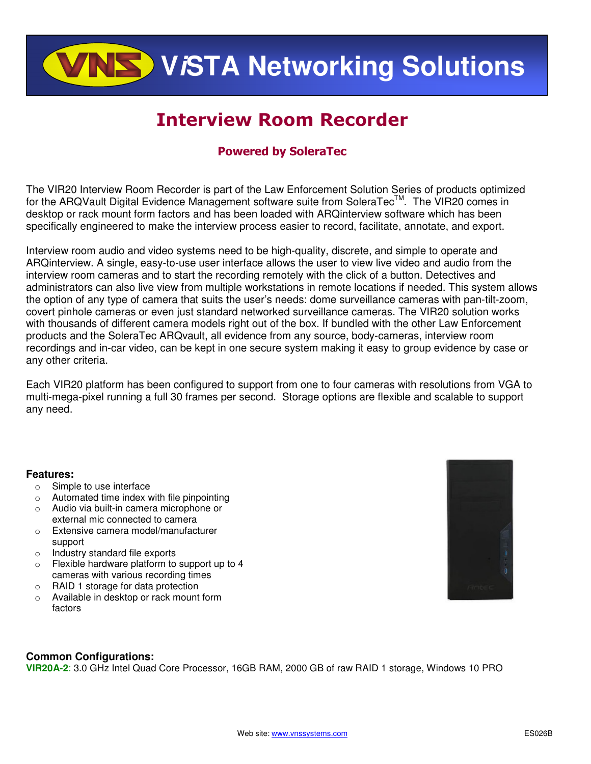**ViSTA Networking Solutions**

# Interview Room Recorder

# Powered by SoleraTec

The VIR20 Interview Room Recorder is part of the Law Enforcement Solution Series of products optimized for the ARQVault Digital Evidence Management software suite from SoleraTec™. The VIR20 comes in desktop or rack mount form factors and has been loaded with ARQinterview software which has been specifically engineered to make the interview process easier to record, facilitate, annotate, and export.

Interview room audio and video systems need to be high-quality, discrete, and simple to operate and ARQinterview. A single, easy-to-use user interface allows the user to view live video and audio from the interview room cameras and to start the recording remotely with the click of a button. Detectives and administrators can also live view from multiple workstations in remote locations if needed. This system allows the option of any type of camera that suits the user's needs: dome surveillance cameras with pan-tilt-zoom, covert pinhole cameras or even just standard networked surveillance cameras. The VIR20 solution works with thousands of different camera models right out of the box. If bundled with the other Law Enforcement products and the SoleraTec ARQvault, all evidence from any source, body-cameras, interview room recordings and in-car video, can be kept in one secure system making it easy to group evidence by case or any other criteria.

Each VIR20 platform has been configured to support from one to four cameras with resolutions from VGA to multi-mega-pixel running a full 30 frames per second. Storage options are flexible and scalable to support any need.

# **Features:**

- o Simple to use interface
- o Automated time index with file pinpointing
- o Audio via built-in camera microphone or external mic connected to camera
- o Extensive camera model/manufacturer support
- o Industry standard file exports
- o Flexible hardware platform to support up to 4 cameras with various recording times
- o RAID 1 storage for data protection
- o Available in desktop or rack mount form factors



# **Common Configurations:**

**VIR20A-2**: 3.0 GHz Intel Quad Core Processor, 16GB RAM, 2000 GB of raw RAID 1 storage, Windows 10 PRO